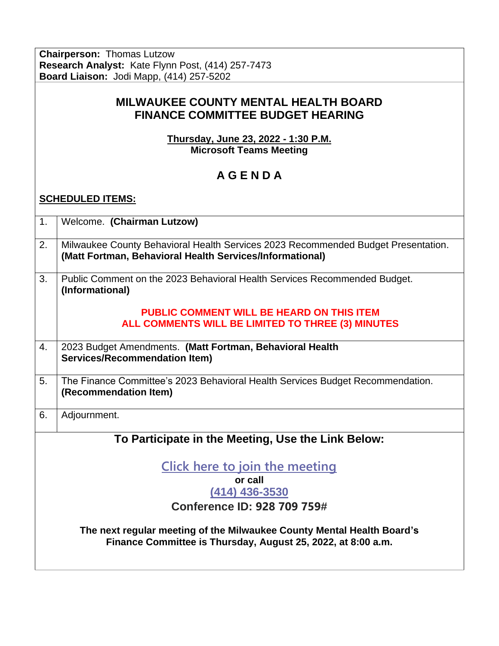**Chairperson:** Thomas Lutzow **Research Analyst:** Kate Flynn Post, (414) 257-7473 **Board Liaison:** Jodi Mapp, (414) 257-5202

## **MILWAUKEE COUNTY MENTAL HEALTH BOARD FINANCE COMMITTEE BUDGET HEARING**

**Thursday, June 23, 2022 - 1:30 P.M. Microsoft Teams Meeting**

## **A G E N D A**

## **SCHEDULED ITEMS:**

| 1.                                                 | Welcome. (Chairman Lutzow)                                                                                                                    |
|----------------------------------------------------|-----------------------------------------------------------------------------------------------------------------------------------------------|
| 2.                                                 | Milwaukee County Behavioral Health Services 2023 Recommended Budget Presentation.<br>(Matt Fortman, Behavioral Health Services/Informational) |
| 3.                                                 | Public Comment on the 2023 Behavioral Health Services Recommended Budget.<br>(Informational)                                                  |
|                                                    | <b>PUBLIC COMMENT WILL BE HEARD ON THIS ITEM</b><br>ALL COMMENTS WILL BE LIMITED TO THREE (3) MINUTES                                         |
| 4.                                                 | 2023 Budget Amendments. (Matt Fortman, Behavioral Health<br><b>Services/Recommendation Item)</b>                                              |
| 5.                                                 | The Finance Committee's 2023 Behavioral Health Services Budget Recommendation.<br>(Recommendation Item)                                       |
| 6.                                                 | Adjournment.                                                                                                                                  |
| To Participate in the Meeting, Use the Link Below: |                                                                                                                                               |
| <b>Click here to join the meeting</b>              |                                                                                                                                               |
| or call<br>$(414)$ 436-3530                        |                                                                                                                                               |
| Conference ID: 928 709 759#                        |                                                                                                                                               |
|                                                    |                                                                                                                                               |
|                                                    | The next regular meeting of the Milwaukee County Mental Health Board's<br>Finance Committee is Thursday, August 25, 2022, at 8:00 a.m.        |
|                                                    |                                                                                                                                               |